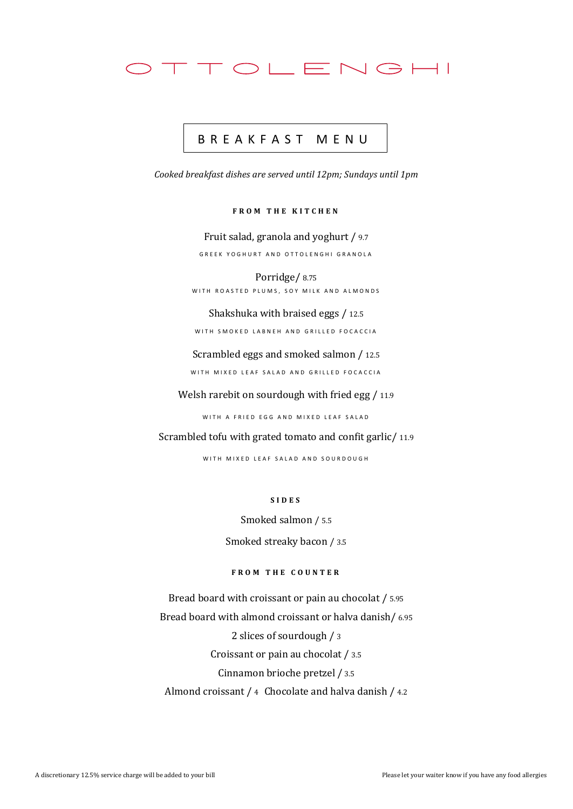

## B R E A K F A S T M E N U

*Cooked breakfast dishes are served until 12pm; Sundays until 1pm*

**F R O M T H E K I T C H E N**

Fruit salad, granola and yoghurt / 9.7 GREEK YOGHURT AND OTTOLENGHI GRANOLA

Porridge/ 8.75 WITH ROASTED PLUMS, SOY MILK AND ALMONDS

Shakshuka with braised eggs / 12.5

WITH SMOKED LABNEH AND GRILLED FOCACCIA

Scrambled eggs and smoked salmon / 12.5

WITH MIXED LEAF SALAD AND GRILLED FOCACCIA

Welsh rarebit on sourdough with fried egg / 11.9

WITH A FRIED EGG AND MIXED LEAF SALAD

Scrambled tofu with grated tomato and confit garlic/ 11.9

WITH MIXED LEAF SALAD AND SOURDOUGH

**S I D E S**

Smoked salmon / 5.5

Smoked streaky bacon / 3.5

**F R O M T H E C O U N T E R**

Bread board with croissant or pain au chocolat / 5.95 Bread board with almond croissant or halva danish/ 6.95 2 slices of sourdough / 3 Croissant or pain au chocolat / 3.5 Cinnamon brioche pretzel / 3.5 Almond croissant / 4 Chocolate and halva danish / 4.2